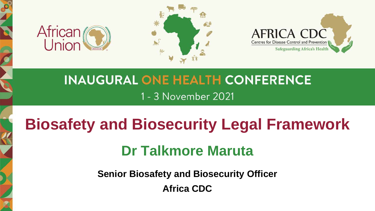





## **INAUGURAL ONE HEALTH CONFERENCE** 1 - 3 November 2021

# **Biosafety and Biosecurity Legal Framework**

# **Dr Talkmore Maruta**

**Senior Biosafety and Biosecurity Officer Africa CDC**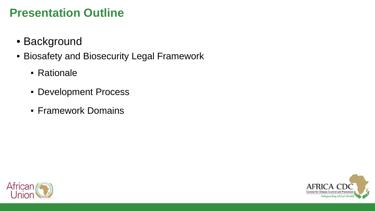## **Presentation Outline**

- Background
- Biosafety and Biosecurity Legal Framework
	- **Rationale**
	- Development Process
	- **Framework Domains**



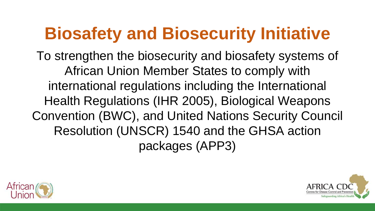# **Biosafety and Biosecurity Initiative**

To strengthen the biosecurity and biosafety systems of African Union Member States to comply with international regulations including the International Health Regulations (IHR 2005), Biological Weapons Convention (BWC), and United Nations Security Council Resolution (UNSCR) 1540 and the GHSA action packages (APP3)



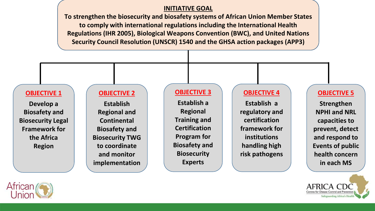#### **INITIATIVE GOAL**

**To strengthen the biosecurity and biosafety systems of African Union Member States to comply with international regulations including the International Health Regulations (IHR 2005), Biological Weapons Convention (BWC), and United Nations Security Council Resolution (UNSCR) 1540 and the GHSA action packages (APP3)**

#### **OBJECTIVE 1**

**Develop a Biosafety and Biosecurity Legal Framework for the Africa Region**

#### **OBJECTIVE 2**

**Establish Regional and Continental Biosafety and Biosecurity TWG to coordinate and monitor implementation**

#### **OBJECTIVE 3**

**Establish a Regional Training and Certification Program for Biosafety and Biosecurity Experts**

#### **OBJECTIVE 4**

**Establish a regulatory and certification framework for institutions handling high risk pathogens**

#### **OBJECTIVE 5**

**Strengthen NPHI and NRL capacities to prevent, detect and respond to Events of public health concern in each MS**



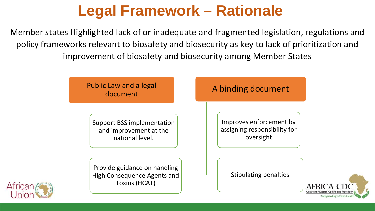# **Legal Framework – Rationale**

Member states Highlighted lack of or inadequate and fragmented legislation, regulations and policy frameworks relevant to biosafety and biosecurity as key to lack of prioritization and improvement of biosafety and biosecurity among Member States

African

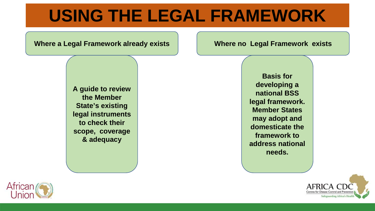# **USING THE LEGAL FRAMEWORK**

**Where a Legal Framework already exists**

**Where no Legal Framework exists**

**A guide to review the Member State's existing legal instruments to check their scope, coverage & adequacy**

**Basis for developing a national BSS legal framework. Member States may adopt and domesticate the framework to address national needs.** 



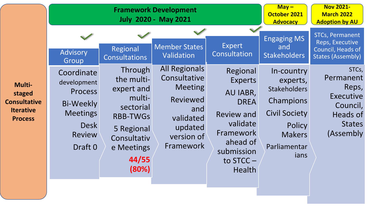| Advisory<br>Group                                                                                                                                                                                       | Regional<br><b>Consultations</b>                                                                                                           | <b>Member States</b><br>Validation<br><b>All Regionals</b>                                                  | Expert<br>Consultation                                                                                                                                        | <b>Engaging MS</b><br>and<br><b>Stakeholders</b>                                                                                      | <b>STCs, Permanent</b><br>Reps, Executive<br>Council, Heads of<br><b>States (Assembly)</b><br>STCs, |
|---------------------------------------------------------------------------------------------------------------------------------------------------------------------------------------------------------|--------------------------------------------------------------------------------------------------------------------------------------------|-------------------------------------------------------------------------------------------------------------|---------------------------------------------------------------------------------------------------------------------------------------------------------------|---------------------------------------------------------------------------------------------------------------------------------------|-----------------------------------------------------------------------------------------------------|
| Coordinate<br>development<br>Multi-<br><b>Process</b><br>staged<br><b>Consultative</b><br><b>Bi-Weekly</b><br><b>Iterative</b><br><b>Meetings</b><br><b>Process</b><br>Desk<br><b>Review</b><br>Draft 0 | Through<br>the multi-<br>expert and<br>multi-<br>sectorial<br><b>RBB-TWGS</b><br>5 Regional<br>Consultativ<br>e Meetings<br>44/55<br>(80%) | Consultative<br><b>Meeting</b><br><b>Reviewed</b><br>and<br>validated<br>updated<br>version of<br>Framework | Regional<br><b>Experts</b><br>AU IABR,<br><b>DREA</b><br><b>Review and</b><br>validate<br>Framework<br>ahead of<br>submission<br>to $STCC -$<br><b>Health</b> | In-country<br>experts,<br><b>Stakeholders</b><br>Champions<br><b>Civil Society</b><br>Policy<br><b>Makers</b><br>Parliamentar<br>ians | Permanent<br>Reps,<br>Executive<br>Council,<br>Heads of<br><b>States</b><br>(Assembly)              |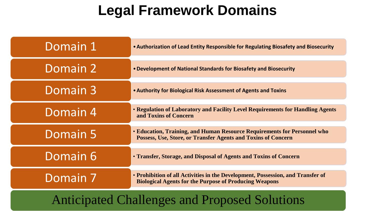# **Legal Framework Domains**

| Domain 1 | • Authorization of Lead Entity Responsible for Regulating Biosafety and Biosecurity                                                              |  |  |  |
|----------|--------------------------------------------------------------------------------------------------------------------------------------------------|--|--|--|
| Domain 2 | • Development of National Standards for Biosafety and Biosecurity                                                                                |  |  |  |
| Domain 3 | • Authority for Biological Risk Assessment of Agents and Toxins                                                                                  |  |  |  |
| Domain 4 | • Regulation of Laboratory and Facility Level Requirements for Handling Agents<br>and Toxins of Concern                                          |  |  |  |
| Domain 5 | • Education, Training, and Human Resource Requirements for Personnel who<br>Possess, Use, Store, or Transfer Agents and Toxins of Concern        |  |  |  |
| Domain 6 | • Transfer, Storage, and Disposal of Agents and Toxins of Concern                                                                                |  |  |  |
| Domain 7 | • Prohibition of all Activities in the Development, Possession, and Transfer of<br><b>Biological Agents for the Purpose of Producing Weapons</b> |  |  |  |
|          |                                                                                                                                                  |  |  |  |

### Anticipated Challenges and Proposed Solutions